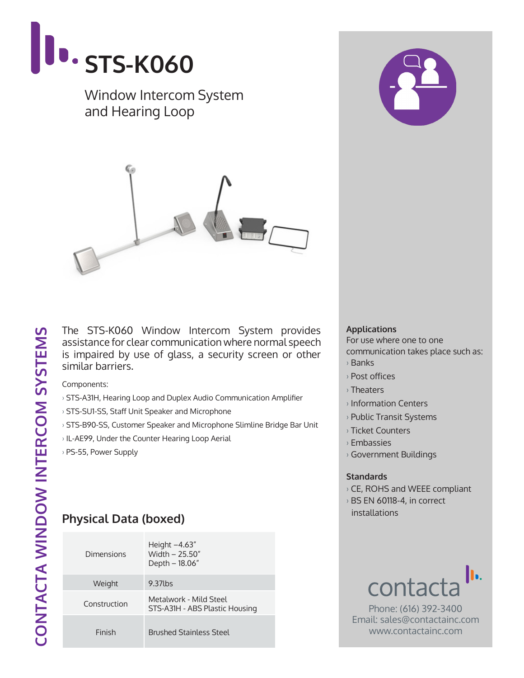

### Window Intercom System and Hearing Loop



The STS-K060 Window Intercom System provides assistance for clear communication where normal speech is impaired by use of glass, a security screen or other similar barriers.

Components:

- › STS-A31H, Hearing Loop and Duplex Audio Communication Amplifier
- › STS-SU1-SS, Staff Unit Speaker and Microphone
- › STS-B90-SS, Customer Speaker and Microphone Slimline Bridge Bar Unit
- › IL-AE99, Under the Counter Hearing Loop Aerial
- › PS-55, Power Supply

# **Physical Data (boxed)**

| Dimensions   | Height $-4.63''$<br>Width $- 25.50''$<br>Depth – 18.06"  |  |
|--------------|----------------------------------------------------------|--|
| Weight       | 9.37lbs                                                  |  |
| Construction | Metalwork - Mild Steel<br>STS-A31H - ABS Plastic Housing |  |
| Finish       | <b>Brushed Stainless Steel</b>                           |  |



#### **Applications**

For use where one to one communication takes place such as:

- › Banks
- › Post offices
- › Theaters
- › Information Centers
- › Public Transit Systems
- › Ticket Counters
- › Embassies
- › Government Buildings

### **Standards**

- › CE, ROHS and WEEE compliant
- › BS EN 60118-4, in correct installations



Phone: (616) 392-3400 Email: sales@contactainc.com www.contactainc.com